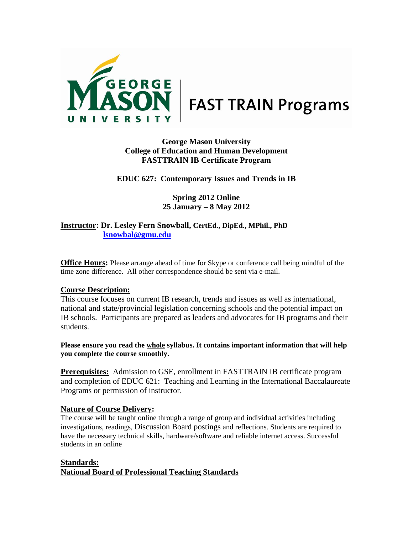

# **George Mason University College of Education and Human Development FASTTRAIN IB Certificate Program**

### **EDUC 627: Contemporary Issues and Trends in IB**

### **Spring 2012 Online 25 January – 8 May 2012**

### **Instructor: Dr. Lesley Fern Snowball, CertEd., DipEd., MPhil., PhD lsnowbal@gmu.edu**

**Office Hours:** Please arrange ahead of time for Skype or conference call being mindful of the time zone difference. All other correspondence should be sent via e-mail.

#### **Course Description:**

This course focuses on current IB research, trends and issues as well as international, national and state/provincial legislation concerning schools and the potential impact on IB schools. Participants are prepared as leaders and advocates for IB programs and their students.

**Please ensure you read the whole syllabus. It contains important information that will help you complete the course smoothly.** 

**Prerequisites:** Admission to GSE, enrollment in FASTTRAIN IB certificate program and completion of EDUC 621: Teaching and Learning in the International Baccalaureate Programs or permission of instructor.

### **Nature of Course Delivery:**

The course will be taught online through a range of group and individual activities including investigations, readings, Discussion Board postings and reflections. Students are required to have the necessary technical skills, hardware/software and reliable internet access. Successful students in an online

#### **Standards:**

**National Board of Professional Teaching Standards**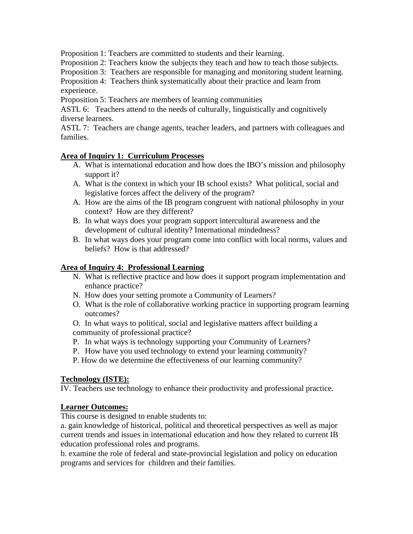Proposition 1: Teachers are committed to students and their learning.

Proposition 2: Teachers know the subjects they teach and how to teach those subjects.

Proposition 3: Teachers are responsible for managing and monitoring student learning.

Proposition 4: Teachers think systematically about their practice and learn from experience.

Proposition 5: Teachers are members of learning communities

ASTL 6: Teachers attend to the needs of culturally, linguistically and cognitively diverse learners.

ASTL 7: Teachers are change agents, teacher leaders, and partners with colleagues and families.

# **Area of Inquiry 1: Curriculum Processes**

- A. What is international education and how does the IBO's mission and philosophy support it?
- A. What is the context in which your IB school exists? What political, social and legislative forces affect the delivery of the program?
- A. How are the aims of the IB program congruent with national philosophy in your context? How are they different?
- B. In what ways does your program support intercultural awareness and the development of cultural identity? International mindedness?
- B. In what ways does your program come into conflict with local norms, values and beliefs? How is that addressed?

# **Area of Inquiry 4: Professional Learning**

- N. What is reflective practice and how does it support program implementation and enhance practice?
- N. How does your setting promote a Community of Learners?
- O. What is the role of collaborative working practice in supporting program learning outcomes?

O. In what ways to political, social and legislative matters affect building a community of professional practice?

- P. In what ways is technology supporting your Community of Learners?
- P. How have you used technology to extend your learning community?
- P. How do we determine the effectiveness of our learning community?

# **Technology (ISTE):**

IV. Teachers use technology to enhance their productivity and professional practice.

## **Learner Outcomes:**

This course is designed to enable students to:

a. gain knowledge of historical, political and theoretical perspectives as well as major current trends and issues in international education and how they related to current IB education professional roles and programs.

b. examine the role of federal and state-provincial legislation and policy on education programs and services for children and their families.